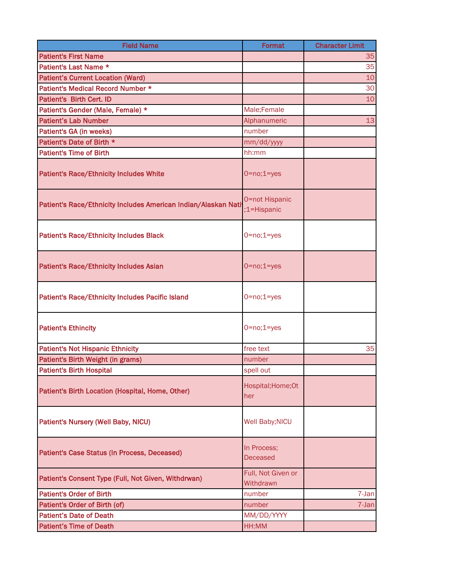| <b>Field Name</b>                                              | <b>Format</b>                   | <b>Character Limit</b> |
|----------------------------------------------------------------|---------------------------------|------------------------|
| <b>Patient's First Name</b>                                    |                                 | 35                     |
| Patient's Last Name *                                          |                                 | 35                     |
| <b>Patient's Current Location (Ward)</b>                       |                                 | 10                     |
| Patient's Medical Record Number *                              |                                 | 30                     |
| Patient's Birth Cert. ID                                       |                                 | 10                     |
| Patient's Gender (Male, Female) *                              | Male;Female                     |                        |
| <b>Patient's Lab Number</b>                                    | Alphanumeric                    | 13                     |
| Patient's GA (in weeks)                                        | number                          |                        |
| Patient's Date of Birth *                                      | mm/dd/yyyy                      |                        |
| <b>Patient's Time of Birth</b>                                 | hh:mm                           |                        |
| <b>Patient's Race/Ethnicity Includes White</b>                 | $0 = no; 1 = yes$               |                        |
| Patient's Race/Ethnicity Includes American Indian/Alaskan Nati | 0=not Hispanic<br>:1=Hispanic   |                        |
| <b>Patient's Race/Ethnicity Includes Black</b>                 | $0 = no; 1 = yes$               |                        |
| <b>Patient's Race/Ethnicity Includes Asian</b>                 | $0 = no; 1 = yes$               |                        |
| <b>Patient's Race/Ethnicity Includes Pacific Island</b>        | $0 = no; 1 = yes$               |                        |
| <b>Patient's Ethincity</b>                                     | $0 = no; 1 = yes$               |                        |
| <b>Patient's Not Hispanic Ethnicity</b>                        | free text                       | 35                     |
| Patient's Birth Weight (in grams)                              | number                          |                        |
| <b>Patient's Birth Hospital</b>                                | spell out                       |                        |
| Patient's Birth Location (Hospital, Home, Other)               | Hospital; Home; Ot<br>her       |                        |
| Patient's Nursery (Well Baby, NICU)                            | Well Baby; NICU                 |                        |
| Patient's Case Status (In Process, Deceased)                   | In Process;<br><b>Deceased</b>  |                        |
| Patient's Consent Type (Full, Not Given, Withdrwan)            | Full, Not Given or<br>Withdrawn |                        |
| <b>Patient's Order of Birth</b>                                | number                          | 7-Jan                  |
| Patient's Order of Birth (of)                                  | number                          | 7-Jan                  |
| <b>Patient's Date of Death</b>                                 | MM/DD/YYYY                      |                        |
| <b>Patient's Time of Death</b>                                 | HH:MM                           |                        |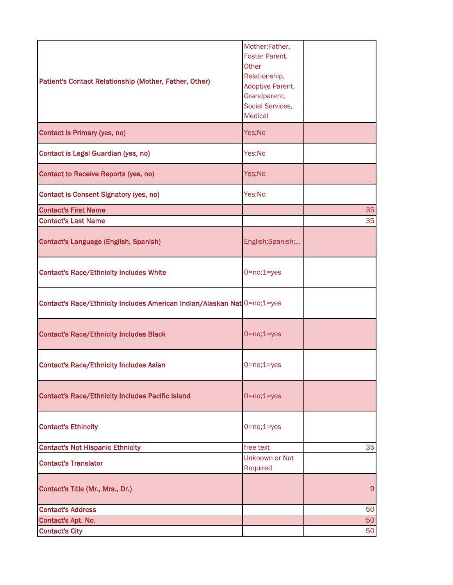| Patient's Contact Relationship (Mother, Father, Other)                   | Mother;Father,<br>Foster Parent,<br>Other<br>Relationship,<br>Adoptive Parent,<br>Grandparent,<br>Social Services,<br><b>Medical</b> |    |
|--------------------------------------------------------------------------|--------------------------------------------------------------------------------------------------------------------------------------|----|
| Contact is Primary (yes, no)                                             | Yes;No                                                                                                                               |    |
| Contact is Legal Guardian (yes, no)                                      | Yes;No                                                                                                                               |    |
| Contact to Receive Reports (yes, no)                                     | Yes;No                                                                                                                               |    |
| Contact is Consent Signatory (yes, no)                                   | Yes;No                                                                                                                               |    |
| <b>Contact's First Name</b>                                              |                                                                                                                                      | 35 |
| <b>Contact's Last Name</b>                                               |                                                                                                                                      | 35 |
| Contact's Language (English, Spanish)                                    | English;Spanish;                                                                                                                     |    |
| <b>Contact's Race/Ethnicity Includes White</b>                           | $0 = no; 1 = yes$                                                                                                                    |    |
| Contact's Race/Ethnicity Includes American Indian/Alaskan Nat 0=no;1=yes |                                                                                                                                      |    |
| <b>Contact's Race/Ethnicity Includes Black</b>                           | $0 = no; 1 = yes$                                                                                                                    |    |
| <b>Contact's Race/Ethnicity Includes Asian</b>                           | $0 = no; 1 = yes$                                                                                                                    |    |
| <b>Contact's Race/Ethnicity Includes Pacific Island</b>                  | $0 = no; 1 = yes$                                                                                                                    |    |
| <b>Contact's Ethincity</b>                                               | $0 = no; 1 = yes$                                                                                                                    |    |
| <b>Contact's Not Hispanic Ethnicity</b>                                  | free text                                                                                                                            | 35 |
| <b>Contact's Translator</b>                                              | Unknown or Not<br>Required                                                                                                           |    |
| Contact's Title (Mr., Mrs., Dr.)                                         |                                                                                                                                      | 9  |
| <b>Contact's Address</b>                                                 |                                                                                                                                      | 50 |
| <b>Contact's Apt. No.</b>                                                |                                                                                                                                      | 50 |
| <b>Contact's City</b>                                                    |                                                                                                                                      | 50 |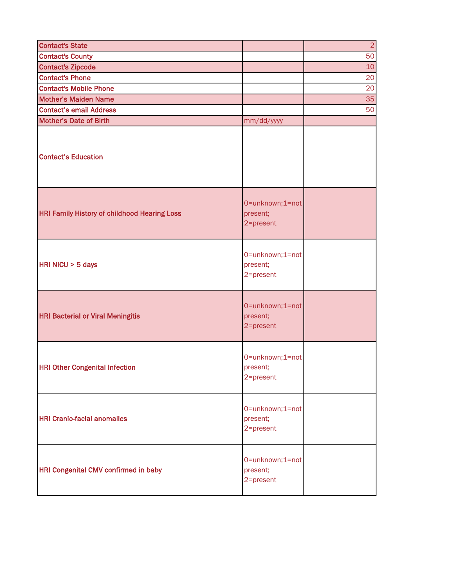| <b>Contact's State</b>                              |                                          | $\overline{2}$ |
|-----------------------------------------------------|------------------------------------------|----------------|
| <b>Contact's County</b>                             |                                          | 50             |
| <b>Contact's Zipcode</b>                            |                                          | 10             |
| <b>Contact's Phone</b>                              |                                          | 20             |
| <b>Contact's Mobile Phone</b>                       |                                          | 20             |
| <b>Mother's Maiden Name</b>                         |                                          | 35             |
| <b>Contact's email Address</b>                      |                                          | 50             |
| <b>Mother's Date of Birth</b>                       | mm/dd/yyyy                               |                |
| <b>Contact's Education</b>                          |                                          |                |
| <b>HRI Family History of childhood Hearing Loss</b> | 0=unknown;1=not<br>present;<br>2=present |                |
| HRI NICU > 5 days                                   | 0=unknown;1=not<br>present;<br>2=present |                |
| <b>HRI Bacterial or Viral Meningitis</b>            | 0=unknown;1=not<br>present;<br>2=present |                |
| <b>HRI Other Congenital Infection</b>               | 0=unknown;1=not<br>present;<br>2=present |                |
| <b>HRI Cranio-facial anomalies</b>                  | 0=unknown;1=not<br>present;<br>2=present |                |
| HRI Congenital CMV confirmed in baby                | 0=unknown;1=not<br>present;<br>2=present |                |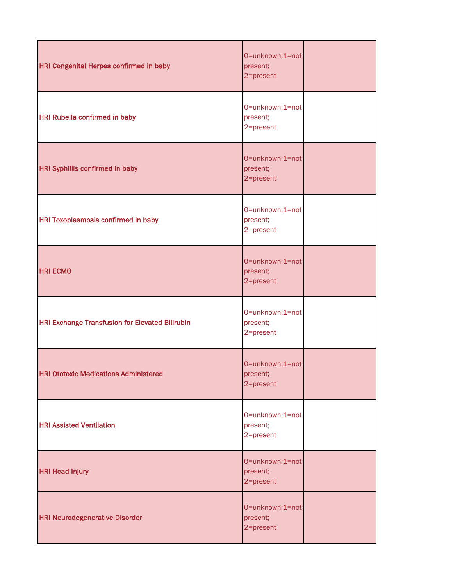| <b>HRI Congenital Herpes confirmed in baby</b>         | 0=unknown;1=not<br>present;<br>2=present |  |
|--------------------------------------------------------|------------------------------------------|--|
| <b>HRI Rubella confirmed in baby</b>                   | 0=unknown;1=not<br>present;<br>2=present |  |
| <b>HRI Syphillis confirmed in baby</b>                 | 0=unknown;1=not<br>present;<br>2=present |  |
| <b>HRI Toxoplasmosis confirmed in baby</b>             | 0=unknown;1=not<br>present;<br>2=present |  |
| <b>HRI ECMO</b>                                        | 0=unknown;1=not<br>present;<br>2=present |  |
| <b>HRI Exchange Transfusion for Elevated Bilirubin</b> | 0=unknown;1=not<br>present;<br>2=present |  |
| <b>HRI Ototoxic Medications Administered</b>           | 0=unknown;1=not<br>present;<br>2=present |  |
| <b>HRI Assisted Ventilation</b>                        | 0=unknown;1=not<br>present;<br>2=present |  |
| <b>HRI Head Injury</b>                                 | 0=unknown;1=not<br>present;<br>2=present |  |
| <b>HRI Neurodegenerative Disorder</b>                  | 0=unknown;1=not<br>present;<br>2=present |  |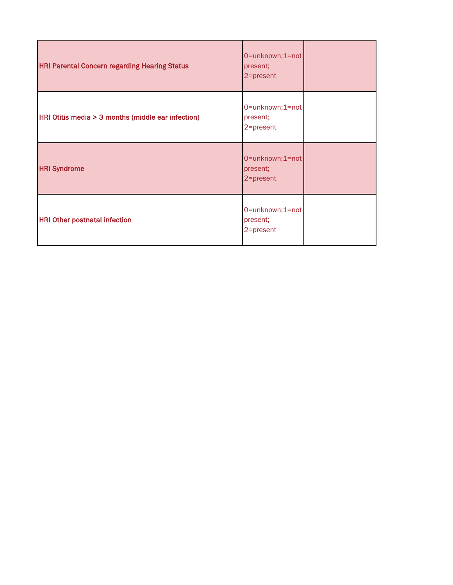| <b>HRI Parental Concern regarding Hearing Status</b> | 0=unknown;1=not<br>present;<br>2=present |  |
|------------------------------------------------------|------------------------------------------|--|
| HRI Otitis media > 3 months (middle ear infection)   | 0=unknown;1=not<br>present;<br>2=present |  |
| <b>HRI Syndrome</b>                                  | 0=unknown;1=not<br>present;<br>2=present |  |
| <b>HRI Other postnatal infection</b>                 | 0=unknown;1=not<br>present;<br>2=present |  |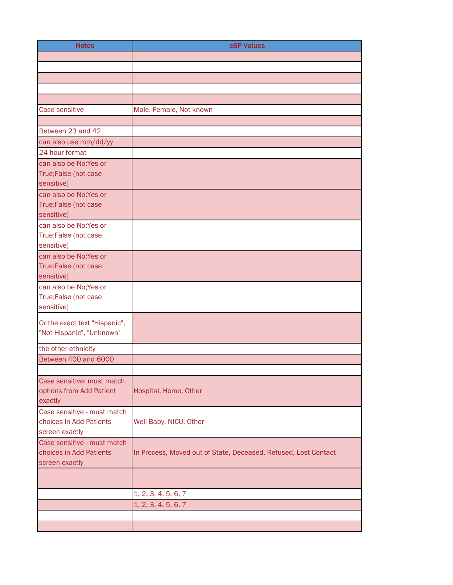| <b>Notes</b>                           | eSP Values                                                      |
|----------------------------------------|-----------------------------------------------------------------|
|                                        |                                                                 |
|                                        |                                                                 |
|                                        |                                                                 |
|                                        |                                                                 |
| Case sensitive                         | Male, Female, Not known                                         |
|                                        |                                                                 |
| Between 23 and 42                      |                                                                 |
| can also use mm/dd/yy                  |                                                                 |
| 24 hour format                         |                                                                 |
| can also be No; Yes or                 |                                                                 |
| True;False (not case                   |                                                                 |
| sensitive)<br>can also be No; Yes or   |                                                                 |
| True;False (not case                   |                                                                 |
| sensitive)                             |                                                                 |
| can also be No; Yes or                 |                                                                 |
| True;False (not case                   |                                                                 |
| sensitive)                             |                                                                 |
| can also be No; Yes or                 |                                                                 |
| True;False (not case<br>sensitive)     |                                                                 |
| can also be No;Yes or                  |                                                                 |
| True;False (not case                   |                                                                 |
| sensitive)                             |                                                                 |
| Or the exact text "Hispanic",          |                                                                 |
| "Not Hispanic", "Unknown"              |                                                                 |
| the other ethnicity                    |                                                                 |
| Between 400 and 6000                   |                                                                 |
|                                        |                                                                 |
| Case sensitive: must match             |                                                                 |
| options from Add Patient               | Hospital, Home, Other                                           |
| exactly<br>Case sensitive - must match |                                                                 |
| choices in Add Patients                | Well Baby, NICU, Other                                          |
| screen exactly                         |                                                                 |
| Case sensitive - must match            |                                                                 |
| choices in Add Patients                | In Process, Moved out of State, Deceased, Refused, Lost Contact |
| screen exactly                         |                                                                 |
|                                        |                                                                 |
|                                        | 1, 2, 3, 4, 5, 6, 7                                             |
|                                        | 1, 2, 3, 4, 5, 6, 7                                             |
|                                        |                                                                 |
|                                        |                                                                 |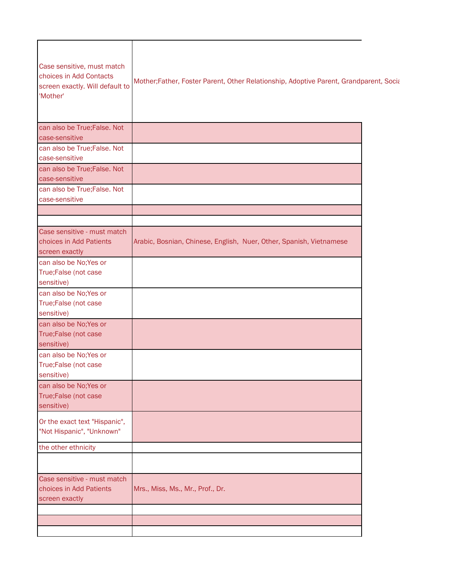| Case sensitive, must match<br>choices in Add Contacts<br>screen exactly. Will default to<br>'Mother' | Mother;Father, Foster Parent, Other Relationship, Adoptive Parent, Grandparent, Social |  |
|------------------------------------------------------------------------------------------------------|----------------------------------------------------------------------------------------|--|
| can also be True; False. Not<br>case-sensitive                                                       |                                                                                        |  |
| can also be True; False. Not<br>case-sensitive                                                       |                                                                                        |  |
| can also be True; False. Not<br>case-sensitive                                                       |                                                                                        |  |
| can also be True; False. Not<br>case-sensitive                                                       |                                                                                        |  |
|                                                                                                      |                                                                                        |  |
| Case sensitive - must match<br>choices in Add Patients<br>screen exactly                             | Arabic, Bosnian, Chinese, English, Nuer, Other, Spanish, Vietnamese                    |  |
| can also be No; Yes or<br>True;False (not case<br>sensitive)                                         |                                                                                        |  |
| can also be No; Yes or<br>True;False (not case<br>sensitive)                                         |                                                                                        |  |
| can also be No; Yes or<br>True;False (not case<br>sensitive)                                         |                                                                                        |  |
| can also be No; Yes or<br>True;False (not case<br>sensitive)                                         |                                                                                        |  |
| can also be No; Yes or<br>True;False (not case<br>sensitive)                                         |                                                                                        |  |
| Or the exact text "Hispanic",<br>"Not Hispanic", "Unknown"                                           |                                                                                        |  |
| the other ethnicity                                                                                  |                                                                                        |  |
| Case sensitive - must match<br>choices in Add Patients<br>screen exactly                             | Mrs., Miss, Ms., Mr., Prof., Dr.                                                       |  |
|                                                                                                      |                                                                                        |  |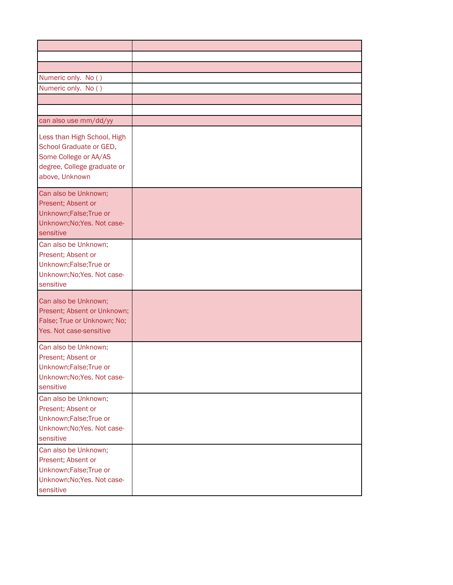| Numeric only. No ()                                                                                                              |  |
|----------------------------------------------------------------------------------------------------------------------------------|--|
| Numeric only. No ()                                                                                                              |  |
|                                                                                                                                  |  |
| can also use mm/dd/yy                                                                                                            |  |
| Less than High School, High<br>School Graduate or GED,<br>Some College or AA/AS<br>degree, College graduate or<br>above, Unknown |  |
| Can also be Unknown;<br>Present; Absent or<br>Unknown; False; True or<br>Unknown; No; Yes. Not case-<br>sensitive                |  |
| Can also be Unknown;<br>Present; Absent or<br>Unknown; False; True or<br>Unknown; No; Yes. Not case-<br>sensitive                |  |
| Can also be Unknown;<br>Present; Absent or Unknown;<br>False; True or Unknown; No;<br>Yes. Not case-sensitive                    |  |
| Can also be Unknown;<br>Present; Absent or<br>Unknown;False;True or<br>Unknown; No; Yes. Not case-<br>sensitive                  |  |
| Can also be Unknown;<br>Present; Absent or<br>Unknown; False; True or<br>Unknown; No; Yes. Not case-<br>sensitive                |  |
| Can also be Unknown;<br>Present; Absent or<br>Unknown; False; True or<br>Unknown; No; Yes. Not case-<br>sensitive                |  |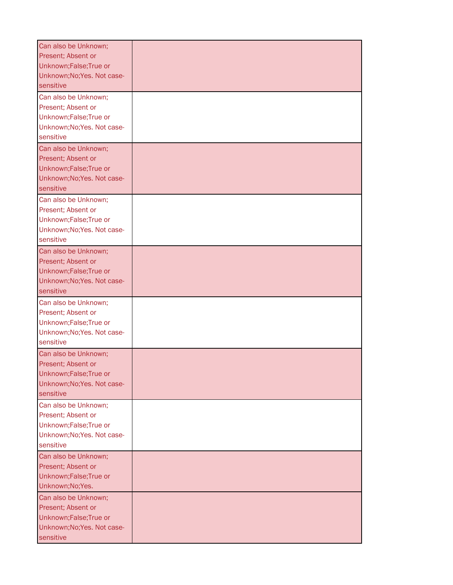| Can also be Unknown;<br>Present; Absent or<br>Unknown;False;True or<br>Unknown; No; Yes. Not case-<br>sensitive   |  |
|-------------------------------------------------------------------------------------------------------------------|--|
| Can also be Unknown;<br>Present; Absent or<br>Unknown; False; True or<br>Unknown; No; Yes. Not case-<br>sensitive |  |
| Can also be Unknown;<br>Present; Absent or<br>Unknown; False; True or<br>Unknown; No; Yes. Not case-<br>sensitive |  |
| Can also be Unknown;<br>Present; Absent or<br>Unknown;False;True or<br>Unknown; No; Yes. Not case-<br>sensitive   |  |
| Can also be Unknown;<br>Present; Absent or<br>Unknown; False; True or<br>Unknown; No; Yes. Not case-<br>sensitive |  |
| Can also be Unknown;<br>Present; Absent or<br>Unknown; False; True or<br>Unknown; No; Yes. Not case-<br>sensitive |  |
| Can also be Unknown;<br>Present; Absent or<br>Unknown; False; True or<br>Unknown; No; Yes. Not case-<br>sensitive |  |
| Can also be Unknown;<br>Present; Absent or<br>Unknown;False;True or<br>Unknown; No; Yes. Not case-<br>sensitive   |  |
| Can also be Unknown;<br>Present; Absent or<br>Unknown; False; True or<br>Unknown;No;Yes.                          |  |
| Can also be Unknown;<br>Present; Absent or<br>Unknown; False; True or<br>Unknown; No; Yes. Not case-<br>sensitive |  |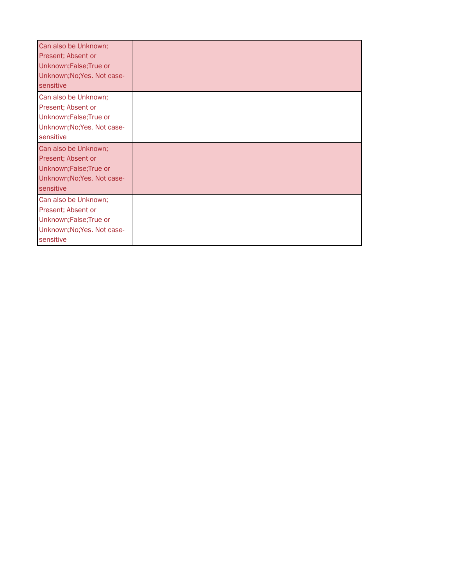| Can also be Unknown;<br>Present; Absent or<br>Unknown; False; True or<br>Unknown; No; Yes. Not case-<br>sensitive |  |
|-------------------------------------------------------------------------------------------------------------------|--|
| Can also be Unknown;<br>Present; Absent or<br>Unknown; False; True or<br>Unknown; No; Yes. Not case-<br>sensitive |  |
| Can also be Unknown;<br>Present; Absent or<br>Unknown; False; True or<br>Unknown; No; Yes. Not case-<br>sensitive |  |
| Can also be Unknown;<br>Present; Absent or<br>Unknown; False; True or<br>Unknown; No; Yes. Not case-<br>sensitive |  |